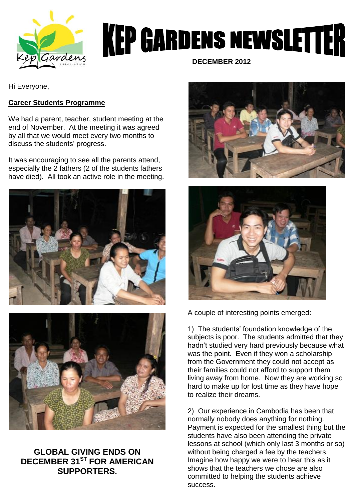

# **KEP GARDENS NEWSLETTER**

 **DECEMBER 2012**

Hi Everyone,

## **Career Students Programme**

We had a parent, teacher, student meeting at the end of November. At the meeting it was agreed by all that we would meet every two months to discuss the students' progress.

It was encouraging to see all the parents attend, especially the 2 fathers (2 of the students fathers have died). All took an active role in the meeting.





# **GLOBAL GIVING ENDS ON DECEMBER 31ST FOR AMERICAN SUPPORTERS.**





A couple of interesting points emerged:

1) The students' foundation knowledge of the subjects is poor. The students admitted that they hadn't studied very hard previously because what was the point. Even if they won a scholarship from the Government they could not accept as their families could not afford to support them living away from home. Now they are working so hard to make up for lost time as they have hope to realize their dreams.

2) Our experience in Cambodia has been that normally nobody does anything for nothing. Payment is expected for the smallest thing but the students have also been attending the private lessons at school (which only last 3 months or so) without being charged a fee by the teachers. Imagine how happy we were to hear this as it shows that the teachers we chose are also committed to helping the students achieve success.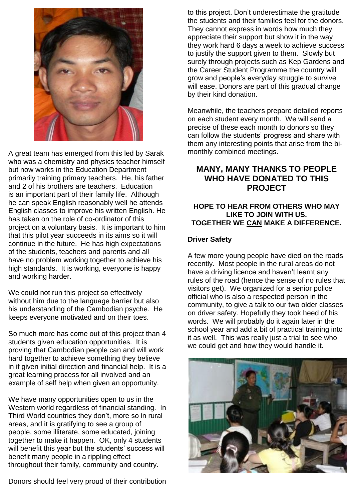

A great team has emerged from this led by Sarak who was a chemistry and physics teacher himself but now works in the Education Department primarily training primary teachers. He, his father and 2 of his brothers are teachers. Education is an important part of their family life. Although he can speak English reasonably well he attends English classes to improve his written English. He has taken on the role of co-ordinator of this project on a voluntary basis. It is important to him that this pilot year succeeds in its aims so it will continue in the future. He has high expectations of the students, teachers and parents and all have no problem working together to achieve his high standards. It is working, everyone is happy and working harder.

We could not run this project so effectively without him due to the language barrier but also his understanding of the Cambodian psyche. He keeps everyone motivated and on their toes.

So much more has come out of this project than 4 students given education opportunities. It is proving that Cambodian people can and will work hard together to achieve something they believe in if given initial direction and financial help. It is a great learning process for all involved and an example of self help when given an opportunity.

We have many opportunities open to us in the Western world regardless of financial standing. In Third World countries they don't, more so in rural areas, and it is gratifying to see a group of people, some illiterate, some educated, joining together to make it happen. OK, only 4 students will benefit this year but the students' success will benefit many people in a rippling effect throughout their family, community and country.

Donors should feel very proud of their contribution

to this project. Don't underestimate the gratitude the students and their families feel for the donors. They cannot express in words how much they appreciate their support but show it in the way they work hard 6 days a week to achieve success to justify the support given to them. Slowly but surely through projects such as Kep Gardens and the Career Student Programme the country will grow and people's everyday struggle to survive will ease. Donors are part of this gradual change by their kind donation.

Meanwhile, the teachers prepare detailed reports on each student every month. We will send a precise of these each month to donors so they can follow the students' progress and share with them any interesting points that arise from the bimonthly combined meetings.

## **MANY, MANY THANKS TO PEOPLE WHO HAVE DONATED TO THIS PROJECT**

#### **HOPE TO HEAR FROM OTHERS WHO MAY LIKE TO JOIN WITH US. TOGETHER WE CAN MAKE A DIFFERENCE.**

## **Driver Safety**

A few more young people have died on the roads recently. Most people in the rural areas do not have a driving licence and haven't learnt any rules of the road (hence the sense of no rules that visitors get). We organized for a senior police official who is also a respected person in the community, to give a talk to our two older classes on driver safety. Hopefully they took heed of his words. We will probably do it again later in the school year and add a bit of practical training into it as well. This was really just a trial to see who we could get and how they would handle it.

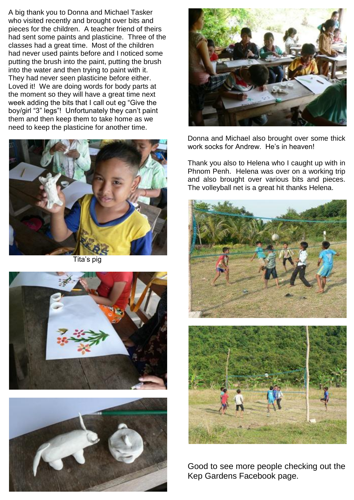A big thank you to Donna and Michael Tasker who visited recently and brought over bits and pieces for the children. A teacher friend of theirs had sent some paints and plasticine. Three of the classes had a great time. Most of the children had never used paints before and I noticed some putting the brush into the paint, putting the brush into the water and then trying to paint with it. They had never seen plasticine before either. Loved it! We are doing words for body parts at the moment so they will have a great time next week adding the bits that I call out eg "Give the boy/girl "3" legs"! Unfortunately they can't paint them and then keep them to take home as we need to keep the plasticine for another time.



Tita's pig







Donna and Michael also brought over some thick work socks for Andrew. He's in heaven!

Thank you also to Helena who I caught up with in Phnom Penh. Helena was over on a working trip and also brought over various bits and pieces. The volleyball net is a great hit thanks Helena.



Good to see more people checking out the Kep Gardens Facebook page.